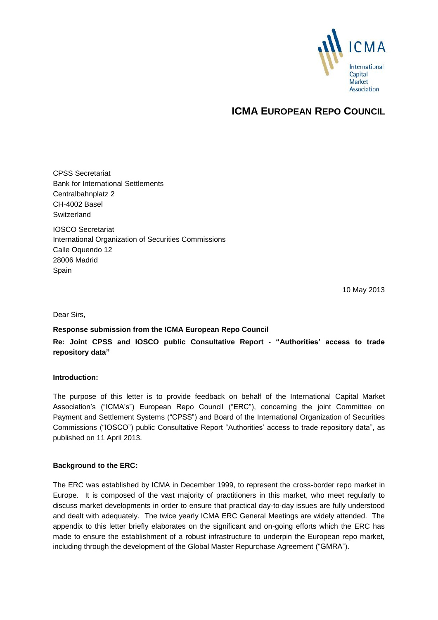

## **ICMA EUROPEAN REPO COUNCIL**

CPSS Secretariat Bank for International Settlements Centralbahnplatz 2 CH-4002 Basel **Switzerland** IOSCO Secretariat International Organization of Securities Commissions Calle Oquendo 12 28006 Madrid

**Spain** 

10 May 2013

Dear Sirs,

**Response submission from the ICMA European Repo Council**

**Re: Joint CPSS and IOSCO public Consultative Report - "Authorities' access to trade repository data"**

#### **Introduction:**

The purpose of this letter is to provide feedback on behalf of the International Capital Market Association's ("ICMA's") European Repo Council ("ERC"), concerning the joint Committee on Payment and Settlement Systems ("CPSS") and Board of the International Organization of Securities Commissions ("IOSCO") public Consultative Report "Authorities' access to trade repository data", as published on 11 April 2013.

#### **Background to the ERC:**

The ERC was established by ICMA in December 1999, to represent the cross-border repo market in Europe. It is composed of the vast majority of practitioners in this market, who meet regularly to discuss market developments in order to ensure that practical day-to-day issues are fully understood and dealt with adequately. The twice yearly ICMA ERC General Meetings are widely attended. The appendix to this letter briefly elaborates on the significant and on-going efforts which the ERC has made to ensure the establishment of a robust infrastructure to underpin the European repo market, including through the development of the Global Master Repurchase Agreement ("GMRA").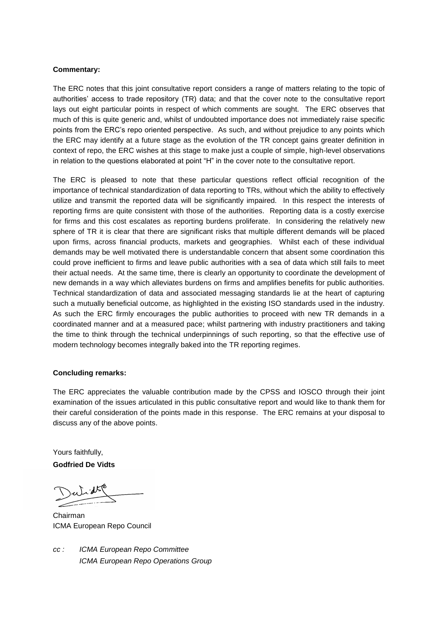#### **Commentary:**

The ERC notes that this joint consultative report considers a range of matters relating to the topic of authorities' access to trade repository (TR) data; and that the cover note to the consultative report lays out eight particular points in respect of which comments are sought. The ERC observes that much of this is quite generic and, whilst of undoubted importance does not immediately raise specific points from the ERC's repo oriented perspective. As such, and without prejudice to any points which the ERC may identify at a future stage as the evolution of the TR concept gains greater definition in context of repo, the ERC wishes at this stage to make just a couple of simple, high-level observations in relation to the questions elaborated at point "H" in the cover note to the consultative report.

The ERC is pleased to note that these particular questions reflect official recognition of the importance of technical standardization of data reporting to TRs, without which the ability to effectively utilize and transmit the reported data will be significantly impaired. In this respect the interests of reporting firms are quite consistent with those of the authorities. Reporting data is a costly exercise for firms and this cost escalates as reporting burdens proliferate. In considering the relatively new sphere of TR it is clear that there are significant risks that multiple different demands will be placed upon firms, across financial products, markets and geographies. Whilst each of these individual demands may be well motivated there is understandable concern that absent some coordination this could prove inefficient to firms and leave public authorities with a sea of data which still fails to meet their actual needs. At the same time, there is clearly an opportunity to coordinate the development of new demands in a way which alleviates burdens on firms and amplifies benefits for public authorities. Technical standardization of data and associated messaging standards lie at the heart of capturing such a mutually beneficial outcome, as highlighted in the existing ISO standards used in the industry. As such the ERC firmly encourages the public authorities to proceed with new TR demands in a coordinated manner and at a measured pace; whilst partnering with industry practitioners and taking the time to think through the technical underpinnings of such reporting, so that the effective use of modern technology becomes integrally baked into the TR reporting regimes.

#### **Concluding remarks:**

The ERC appreciates the valuable contribution made by the CPSS and IOSCO through their joint examination of the issues articulated in this public consultative report and would like to thank them for their careful consideration of the points made in this response. The ERC remains at your disposal to discuss any of the above points.

Yours faithfully,

**Godfried De Vidts**

Chairman ICMA European Repo Council

*cc : ICMA European Repo Committee ICMA European Repo Operations Group*